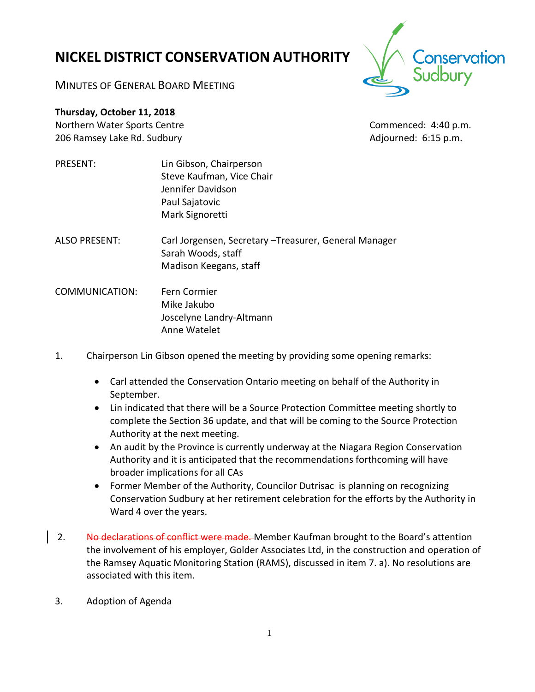# **NICKEL DISTRICT CONSERVATION AUTHORITY**

conservation

MINUTES OF GENERAL BOARD MEETING

**Thursday, October 11, 2018**

Northern Water Sports Centre Commenced: 4:40 p.m. 206 Ramsey Lake Rd. Sudbury **Adjourned: 6:15 p.m.** Adjourned: 6:15 p.m.

- PRESENT: Lin Gibson, Chairperson Steve Kaufman, Vice Chair Jennifer Davidson Paul Sajatovic Mark Signoretti
- ALSO PRESENT: Carl Jorgensen, Secretary –Treasurer, General Manager Sarah Woods, staff Madison Keegans, staff
- COMMUNICATION: Fern Cormier Mike Jakubo Joscelyne Landry-Altmann Anne Watelet
- 1. Chairperson Lin Gibson opened the meeting by providing some opening remarks:
	- Carl attended the Conservation Ontario meeting on behalf of the Authority in September.
	- Lin indicated that there will be a Source Protection Committee meeting shortly to complete the Section 36 update, and that will be coming to the Source Protection Authority at the next meeting.
	- An audit by the Province is currently underway at the Niagara Region Conservation Authority and it is anticipated that the recommendations forthcoming will have broader implications for all CAs
	- Former Member of the Authority, Councilor Dutrisac is planning on recognizing Conservation Sudbury at her retirement celebration for the efforts by the Authority in Ward 4 over the years.
- 2. No declarations of conflict were made. Member Kaufman brought to the Board's attention the involvement of his employer, Golder Associates Ltd, in the construction and operation of the Ramsey Aquatic Monitoring Station (RAMS), discussed in item 7. a). No resolutions are associated with this item.
- 3. Adoption of Agenda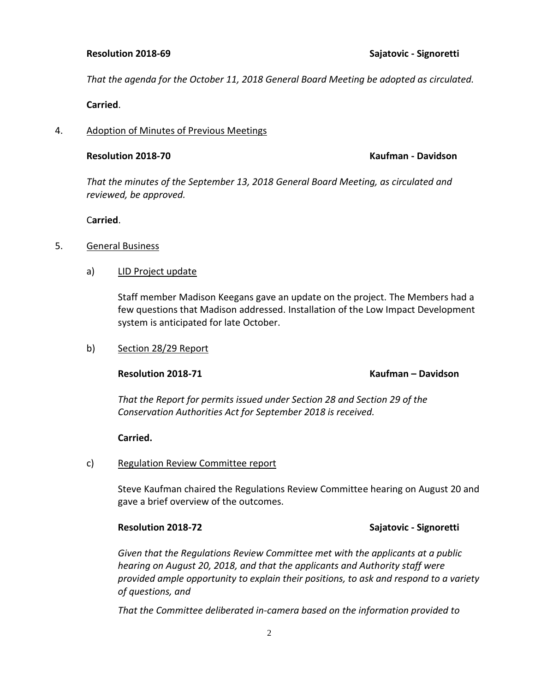### **Resolution 2018-69 Sajatovic - Signoretti**

*That the agenda for the October 11, 2018 General Board Meeting be adopted as circulated.* 

**Carried**.

### 4. Adoption of Minutes of Previous Meetings

### **Resolution 2018-70 Kaufman - Davidson**

*That the minutes of the September 13, 2018 General Board Meeting, as circulated and reviewed, be approved.*

C**arried**.

### 5. General Business

### a) LID Project update

Staff member Madison Keegans gave an update on the project. The Members had a few questions that Madison addressed. Installation of the Low Impact Development system is anticipated for late October.

### b) Section 28/29 Report

### **Resolution 2018-71 Kaufman – Davidson**

*That the Report for permits issued under Section 28 and Section 29 of the Conservation Authorities Act for September 2018 is received.* 

### **Carried.**

### c) Regulation Review Committee report

Steve Kaufman chaired the Regulations Review Committee hearing on August 20 and gave a brief overview of the outcomes.

## **Resolution 2018-72 Sajatovic - Signoretti**

*Given that the Regulations Review Committee met with the applicants at a public hearing on August 20, 2018, and that the applicants and Authority staff were provided ample opportunity to explain their positions, to ask and respond to a variety of questions, and*

*That the Committee deliberated in-camera based on the information provided to*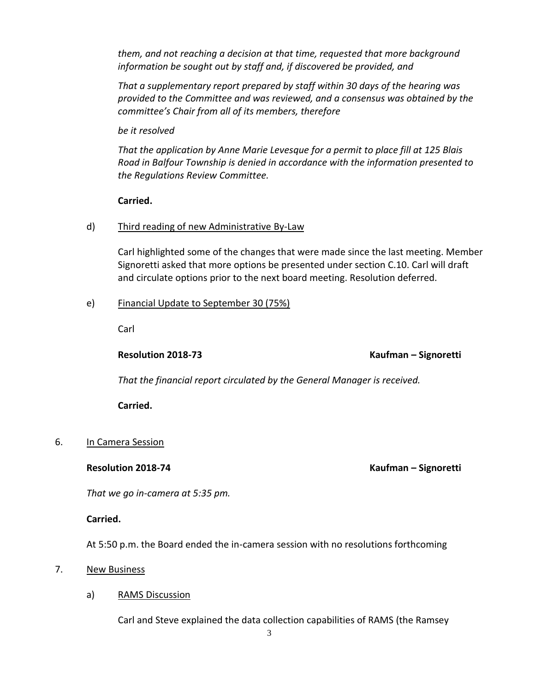*them, and not reaching a decision at that time, requested that more background information be sought out by staff and, if discovered be provided, and* 

*That a supplementary report prepared by staff within 30 days of the hearing was provided to the Committee and was reviewed, and a consensus was obtained by the committee's Chair from all of its members, therefore*

*be it resolved* 

*That the application by Anne Marie Levesque for a permit to place fill at 125 Blais Road in Balfour Township is denied in accordance with the information presented to the Regulations Review Committee.*

# **Carried.**

# d) Third reading of new Administrative By-Law

Carl highlighted some of the changes that were made since the last meeting. Member Signoretti asked that more options be presented under section C.10. Carl will draft and circulate options prior to the next board meeting. Resolution deferred.

# e) Financial Update to September 30 (75%)

Carl

**Resolution 2018-73 Kaufman – Signoretti**

*That the financial report circulated by the General Manager is received.* 

**Carried.**

# 6. In Camera Session

# **Resolution 2018-74 Kaufman – Signoretti**

*That we go in-camera at 5:35 pm.*

# **Carried.**

At 5:50 p.m. the Board ended the in-camera session with no resolutions forthcoming

# 7. New Business

# a) RAMS Discussion

Carl and Steve explained the data collection capabilities of RAMS (the Ramsey